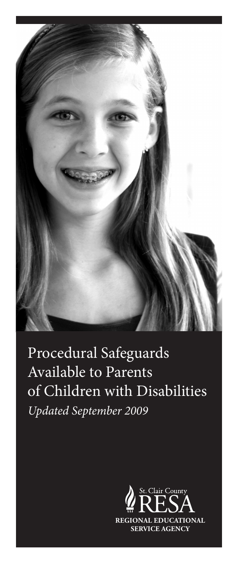

Procedural Safeguards Available to Parents of Children with Disabilities *Updated September 2009*

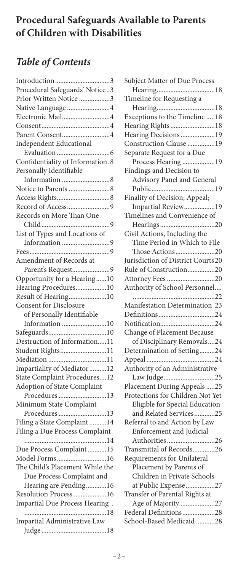# **Procedural Safeguards Available to Parents of Children with Disabilities**

# *Table of Contents*

| Introduction3                    |
|----------------------------------|
| Procedural Safeguards' Notice3   |
| Prior Written Notice 3           |
| Native Language 4                |
| Electronic Mail4                 |
|                                  |
| Parent Consent4                  |
| <b>Independent Educational</b>   |
|                                  |
| Confidentiality of Information.8 |
| Personally Identifiable          |
|                                  |
|                                  |
|                                  |
| Record of Access9                |
| Records on More Than One         |
|                                  |
|                                  |
| List of Types and Locations of   |
| Information 9                    |
|                                  |
| Amendment of Records at          |
| Parent's Request9                |
| Opportunity for a Hearing10      |
| Hearing Procedures10             |
| Result of Hearing10              |
| Consent for Disclosure           |
| of Personally Identifiable       |
| Information 10                   |
|                                  |
| Destruction of Information11     |
| Student Rights11                 |
| Mediation 11                     |
| Impartiality of Mediator12       |
| State Complaint Procedures12     |
| Adoption of State Complaint      |
| Procedures13                     |
| Minimum State Complaint          |
| Procedures13                     |
| Filing a State Complaint 14      |
| Filing a Due Process Complaint   |
|                                  |
| Due Process Complaint15          |
| Model Forms16                    |
| The Child's Placement While the  |
| Due Process Complaint and        |
| Hearing are Pending16            |
|                                  |
| Resolution Process 16            |
| Impartial Due Process Hearing.   |
| Impartial Administrative Law     |
|                                  |
|                                  |

| Subject Matter of Due Process      |
|------------------------------------|
|                                    |
| Timeline for Requesting a          |
|                                    |
| Exceptions to the Timeline 18      |
| Hearing Rights18                   |
| Hearing Decisions 19               |
| Construction Clause 19             |
| Separate Request for a Due         |
| Process Hearing 19                 |
| Findings and Decision to           |
| Advisory Panel and General         |
|                                    |
| Finality of Decision; Appeal;      |
| Impartial Review19                 |
| Timelines and Convenience of       |
|                                    |
| Civil Actions, Including the       |
| Time Period in Which to File       |
| Those Actions20                    |
| Jurisdiction of District Courts 20 |
| Rule of Construction20             |
| Attorney Fees 20                   |
| Authority of School Personnel      |
|                                    |
| Manifestation Determination 23     |
|                                    |
| Notification24                     |
| Change of Placement Because        |
| of Disciplinary Removals24         |
| Determination of Setting24         |
|                                    |
| Authority of an Administrative     |
| Law Judge25                        |
| Placement During Appeals 25        |
| Protections for Children Not Yet   |
| Eligible for Special Education     |
| and Related Services25             |
| Referral to and Action by Law      |
| Enforcement and Judicial           |
| Authorities26                      |
| Transmittal of Records26           |
| Requirements for Unilateral        |
| Placement by Parents of            |
| Children in Private Schools        |
| at Public Expense27                |
| Transfer of Parental Rights at     |
| Age of Majority 27                 |
| Federal Definitions28              |
| School-Based Medicaid 28           |
|                                    |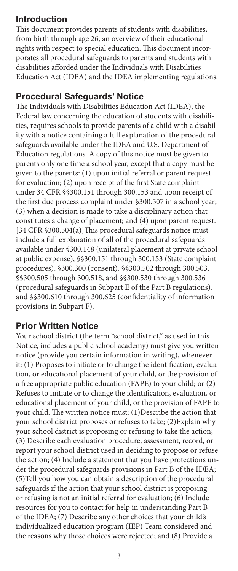#### **Introduction**

This document provides parents of students with disabilities, from birth through age 26, an overview of their educational rights with respect to special education. This document incorporates all procedural safeguards to parents and students with disabilities afforded under the Individuals with Disabilities Education Act (IDEA) and the IDEA implementing regulations.

### **Procedural Safeguards' Notice**

The Individuals with Disabilities Education Act (IDEA), the Federal law concerning the education of students with disabilities, requires schools to provide parents of a child with a disability with a notice containing a full explanation of the procedural safeguards available under the IDEA and U.S. Department of Education regulations. A copy of this notice must be given to parents only one time a school year, except that a copy must be given to the parents: (1) upon initial referral or parent request for evaluation; (2) upon receipt of the first State complaint under 34 CFR §§300.151 through 300.153 and upon receipt of the first due process complaint under §300.507 in a school year; (3) when a decision is made to take a disciplinary action that constitutes a change of placement; and (4) upon parent request. [34 CFR §300.504(a)]This procedural safeguards notice must include a full explanation of all of the procedural safeguards available under §300.148 (unilateral placement at private school at public expense), §§300.151 through 300.153 (State complaint procedures), §300.300 (consent), §§300.502 through 300.503, §§300.505 through 300.518, and §§300.530 through 300.536 (procedural safeguards in Subpart E of the Part B regulations), and §§300.610 through 300.625 (confidentiality of information provisions in Subpart F).

## **Prior Written Notice**

Your school district (the term "school district," as used in this Notice, includes a public school academy) must give you written notice (provide you certain information in writing), whenever it: (1) Proposes to initiate or to change the identification, evaluation, or educational placement of your child, or the provision of a free appropriate public education (FAPE) to your child; or (2) Refuses to initiate or to change the identification, evaluation, or educational placement of your child, or the provision of FAPE to your child. The written notice must: (1)Describe the action that your school district proposes or refuses to take; (2)Explain why your school district is proposing or refusing to take the action; (3) Describe each evaluation procedure, assessment, record, or report your school district used in deciding to propose or refuse the action; (4) Include a statement that you have protections under the procedural safeguards provisions in Part B of the IDEA; (5)Tell you how you can obtain a description of the procedural safeguards if the action that your school district is proposing or refusing is not an initial referral for evaluation; (6) Include resources for you to contact for help in understanding Part B of the IDEA; (7) Describe any other choices that your child's individualized education program (IEP) Team considered and the reasons why those choices were rejected; and (8) Provide a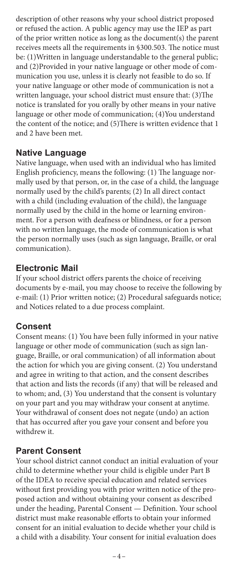description of other reasons why your school district proposed or refused the action. A public agency may use the IEP as part of the prior written notice as long as the document(s) the parent receives meets all the requirements in §300.503. The notice must be: (1)Written in language understandable to the general public; and (2)Provided in your native language or other mode of communication you use, unless it is clearly not feasible to do so. If your native language or other mode of communication is not a written language, your school district must ensure that: (3)The notice is translated for you orally by other means in your native language or other mode of communication; (4)You understand the content of the notice; and (5)There is written evidence that 1 and 2 have been met.

#### **Native Language**

Native language, when used with an individual who has limited English proficiency, means the following: (1) The language normally used by that person, or, in the case of a child, the language normally used by the child's parents; (2) In all direct contact with a child (including evaluation of the child), the language normally used by the child in the home or learning environment. For a person with deafness or blindness, or for a person with no written language, the mode of communication is what the person normally uses (such as sign language, Braille, or oral communication).

### **Electronic Mail**

If your school district offers parents the choice of receiving documents by e-mail, you may choose to receive the following by e-mail: (1) Prior written notice; (2) Procedural safeguards notice; and Notices related to a due process complaint.

## **Consent**

Consent means: (1) You have been fully informed in your native language or other mode of communication (such as sign language, Braille, or oral communication) of all information about the action for which you are giving consent. (2) You understand and agree in writing to that action, and the consent describes that action and lists the records (if any) that will be released and to whom; and, (3) You understand that the consent is voluntary on your part and you may withdraw your consent at anytime. Your withdrawal of consent does not negate (undo) an action that has occurred after you gave your consent and before you withdrew it.

## **Parent Consent**

Your school district cannot conduct an initial evaluation of your child to determine whether your child is eligible under Part B of the IDEA to receive special education and related services without first providing you with prior written notice of the proposed action and without obtaining your consent as described under the heading, Parental Consent — Definition. Your school district must make reasonable efforts to obtain your informed consent for an initial evaluation to decide whether your child is a child with a disability. Your consent for initial evaluation does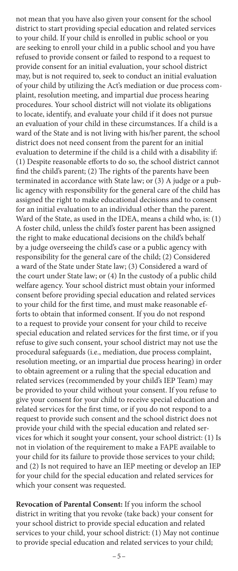not mean that you have also given your consent for the school district to start providing special education and related services to your child. If your child is enrolled in public school or you are seeking to enroll your child in a public school and you have refused to provide consent or failed to respond to a request to provide consent for an initial evaluation, your school district may, but is not required to, seek to conduct an initial evaluation of your child by utilizing the Act's mediation or due process complaint, resolution meeting, and impartial due process hearing procedures. Your school district will not violate its obligations to locate, identify, and evaluate your child if it does not pursue an evaluation of your child in these circumstances. If a child is a ward of the State and is not living with his/her parent, the school district does not need consent from the parent for an initial evaluation to determine if the child is a child with a disability if: (1) Despite reasonable efforts to do so, the school district cannot find the child's parent; (2) The rights of the parents have been terminated in accordance with State law; or (3) A judge or a public agency with responsibility for the general care of the child has assigned the right to make educational decisions and to consent for an initial evaluation to an individual other than the parent. Ward of the State, as used in the IDEA, means a child who, is: (1) A foster child, unless the child's foster parent has been assigned the right to make educational decisions on the child's behalf by a judge overseeing the child's case or a public agency with responsibility for the general care of the child; (2) Considered a ward of the State under State law; (3) Considered a ward of the court under State law; or (4) In the custody of a public child welfare agency. Your school district must obtain your informed consent before providing special education and related services to your child for the first time, and must make reasonable efforts to obtain that informed consent. If you do not respond to a request to provide your consent for your child to receive special education and related services for the first time, or if you refuse to give such consent, your school district may not use the procedural safeguards (i.e., mediation, due process complaint, resolution meeting, or an impartial due process hearing) in order to obtain agreement or a ruling that the special education and related services (recommended by your child's IEP Team) may be provided to your child without your consent. If you refuse to give your consent for your child to receive special education and related services for the first time, or if you do not respond to a request to provide such consent and the school district does not provide your child with the special education and related services for which it sought your consent, your school district: (1) Is not in violation of the requirement to make a FAPE available to your child for its failure to provide those services to your child; and (2) Is not required to have an IEP meeting or develop an IEP for your child for the special education and related services for which your consent was requested.

**Revocation of Parental Consent:** If you inform the school district in writing that you revoke (take back) your consent for your school district to provide special education and related services to your child, your school district: (1) May not continue to provide special education and related services to your child;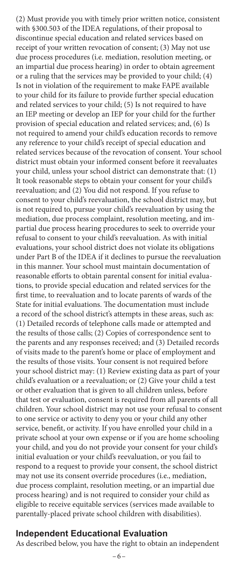(2) Must provide you with timely prior written notice, consistent with §300.503 of the IDEA regulations, of their proposal to discontinue special education and related services based on receipt of your written revocation of consent; (3) May not use due process procedures (i.e. mediation, resolution meeting, or an impartial due process hearing) in order to obtain agreement or a ruling that the services may be provided to your child; (4) Is not in violation of the requirement to make FAPE available to your child for its failure to provide further special education and related services to your child; (5) Is not required to have an IEP meeting or develop an IEP for your child for the further provision of special education and related services; and, (6) Is not required to amend your child's education records to remove any reference to your child's receipt of special education and related services because of the revocation of consent. Your school district must obtain your informed consent before it reevaluates your child, unless your school district can demonstrate that: (1) It took reasonable steps to obtain your consent for your child's reevaluation; and (2) You did not respond. If you refuse to consent to your child's reevaluation, the school district may, but is not required to, pursue your child's reevaluation by using the mediation, due process complaint, resolution meeting, and impartial due process hearing procedures to seek to override your refusal to consent to your child's reevaluation. As with initial evaluations, your school district does not violate its obligations under Part B of the IDEA if it declines to pursue the reevaluation in this manner. Your school must maintain documentation of reasonable efforts to obtain parental consent for initial evaluations, to provide special education and related services for the first time, to reevaluation and to locate parents of wards of the State for initial evaluations. The documentation must include a record of the school district's attempts in these areas, such as: (1) Detailed records of telephone calls made or attempted and the results of those calls; (2) Copies of correspondence sent to the parents and any responses received; and (3) Detailed records of visits made to the parent's home or place of employment and the results of those visits. Your consent is not required before your school district may: (1) Review existing data as part of your child's evaluation or a reevaluation; or (2) Give your child a test or other evaluation that is given to all children unless, before that test or evaluation, consent is required from all parents of all children. Your school district may not use your refusal to consent to one service or activity to deny you or your child any other service, benefit, or activity. If you have enrolled your child in a private school at your own expense or if you are home schooling your child, and you do not provide your consent for your child's initial evaluation or your child's reevaluation, or you fail to respond to a request to provide your consent, the school district may not use its consent override procedures (i.e., mediation, due process complaint, resolution meeting, or an impartial due process hearing) and is not required to consider your child as eligible to receive equitable services (services made available to parentally-placed private school children with disabilities).

#### **Independent Educational Evaluation**

As described below, you have the right to obtain an independent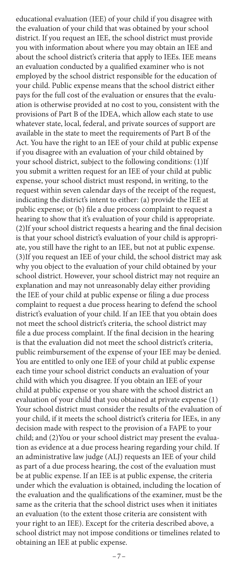educational evaluation (IEE) of your child if you disagree with the evaluation of your child that was obtained by your school district. If you request an IEE, the school district must provide you with information about where you may obtain an IEE and about the school district's criteria that apply to IEEs. IEE means an evaluation conducted by a qualified examiner who is not employed by the school district responsible for the education of your child. Public expense means that the school district either pays for the full cost of the evaluation or ensures that the evaluation is otherwise provided at no cost to you, consistent with the provisions of Part B of the IDEA, which allow each state to use whatever state, local, federal, and private sources of support are available in the state to meet the requirements of Part B of the Act. You have the right to an IEE of your child at public expense if you disagree with an evaluation of your child obtained by your school district, subject to the following conditions: (1)If you submit a written request for an IEE of your child at public expense, your school district must respond, in writing, to the request within seven calendar days of the receipt of the request, indicating the district's intent to either: (a) provide the IEE at public expense; or (b) file a due process complaint to request a hearing to show that it's evaluation of your child is appropriate. (2)If your school district requests a hearing and the final decision is that your school district's evaluation of your child is appropriate, you still have the right to an IEE, but not at public expense. (3)If you request an IEE of your child, the school district may ask why you object to the evaluation of your child obtained by your school district. However, your school district may not require an explanation and may not unreasonably delay either providing the IEE of your child at public expense or filing a due process complaint to request a due process hearing to defend the school district's evaluation of your child. If an IEE that you obtain does not meet the school district's criteria, the school district may file a due process complaint. If the final decision in the hearing is that the evaluation did not meet the school district's criteria, public reimbursement of the expense of your IEE may be denied. You are entitled to only one IEE of your child at public expense each time your school district conducts an evaluation of your child with which you disagree. If you obtain an IEE of your child at public expense or you share with the school district an evaluation of your child that you obtained at private expense (1) Your school district must consider the results of the evaluation of your child, if it meets the school district's criteria for IEEs, in any decision made with respect to the provision of a FAPE to your child; and (2)You or your school district may present the evaluation as evidence at a due process hearing regarding your child. If an administrative law judge (ALJ) requests an IEE of your child as part of a due process hearing, the cost of the evaluation must be at public expense. If an IEE is at public expense, the criteria under which the evaluation is obtained, including the location of the evaluation and the qualifications of the examiner, must be the same as the criteria that the school district uses when it initiates an evaluation (to the extent those criteria are consistent with your right to an IEE). Except for the criteria described above, a school district may not impose conditions or timelines related to obtaining an IEE at public expense.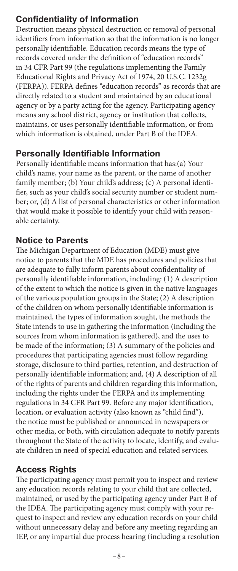# **Confidentiality of Information**

Destruction means physical destruction or removal of personal identifiers from information so that the information is no longer personally identifiable. Education records means the type of records covered under the definition of ''education records'' in 34 CFR Part 99 (the regulations implementing the Family Educational Rights and Privacy Act of 1974, 20 U.S.C. 1232g (FERPA)). FERPA defines "education records" as records that are directly related to a student and maintained by an educational agency or by a party acting for the agency. Participating agency means any school district, agency or institution that collects, maintains, or uses personally identifiable information, or from which information is obtained, under Part B of the IDEA.

## **Personally Identifiable Information**

Personally identifiable means information that has:(a) Your child's name, your name as the parent, or the name of another family member; (b) Your child's address; (c) A personal identifier, such as your child's social security number or student number; or, (d) A list of personal characteristics or other information that would make it possible to identify your child with reasonable certainty.

## **Notice to Parents**

The Michigan Department of Education (MDE) must give notice to parents that the MDE has procedures and policies that are adequate to fully inform parents about confidentiality of personally identifiable information, including: (1) A description of the extent to which the notice is given in the native languages of the various population groups in the State; (2) A description of the children on whom personally identifiable information is maintained, the types of information sought, the methods the State intends to use in gathering the information (including the sources from whom information is gathered), and the uses to be made of the information; (3) A summary of the policies and procedures that participating agencies must follow regarding storage, disclosure to third parties, retention, and destruction of personally identifiable information; and, (4) A description of all of the rights of parents and children regarding this information, including the rights under the FERPA and its implementing regulations in 34 CFR Part 99. Before any major identification, location, or evaluation activity (also known as "child find"), the notice must be published or announced in newspapers or other media, or both, with circulation adequate to notify parents throughout the State of the activity to locate, identify, and evaluate children in need of special education and related services.

## **Access Rights**

The participating agency must permit you to inspect and review any education records relating to your child that are collected, maintained, or used by the participating agency under Part B of the IDEA. The participating agency must comply with your request to inspect and review any education records on your child without unnecessary delay and before any meeting regarding an IEP, or any impartial due process hearing (including a resolution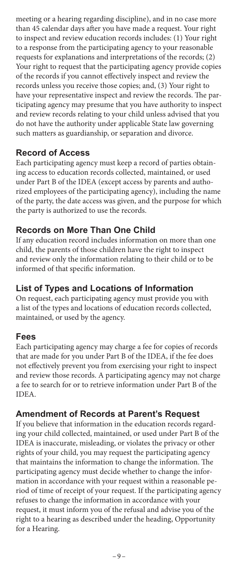meeting or a hearing regarding discipline), and in no case more than 45 calendar days after you have made a request. Your right to inspect and review education records includes: (1) Your right to a response from the participating agency to your reasonable requests for explanations and interpretations of the records; (2) Your right to request that the participating agency provide copies of the records if you cannot effectively inspect and review the records unless you receive those copies; and, (3) Your right to have your representative inspect and review the records. The participating agency may presume that you have authority to inspect and review records relating to your child unless advised that you do not have the authority under applicable State law governing such matters as guardianship, or separation and divorce.

## **Record of Access**

Each participating agency must keep a record of parties obtaining access to education records collected, maintained, or used under Part B of the IDEA (except access by parents and authorized employees of the participating agency), including the name of the party, the date access was given, and the purpose for which the party is authorized to use the records.

## **Records on More Than One Child**

If any education record includes information on more than one child, the parents of those children have the right to inspect and review only the information relating to their child or to be informed of that specific information.

## **List of Types and Locations of Information**

On request, each participating agency must provide you with a list of the types and locations of education records collected, maintained, or used by the agency.

## **Fees**

Each participating agency may charge a fee for copies of records that are made for you under Part B of the IDEA, if the fee does not effectively prevent you from exercising your right to inspect and review those records. A participating agency may not charge a fee to search for or to retrieve information under Part B of the IDEA.

## **Amendment of Records at Parent's Request**

If you believe that information in the education records regarding your child collected, maintained, or used under Part B of the IDEA is inaccurate, misleading, or violates the privacy or other rights of your child, you may request the participating agency that maintains the information to change the information. The participating agency must decide whether to change the information in accordance with your request within a reasonable period of time of receipt of your request. If the participating agency refuses to change the information in accordance with your request, it must inform you of the refusal and advise you of the right to a hearing as described under the heading, Opportunity for a Hearing.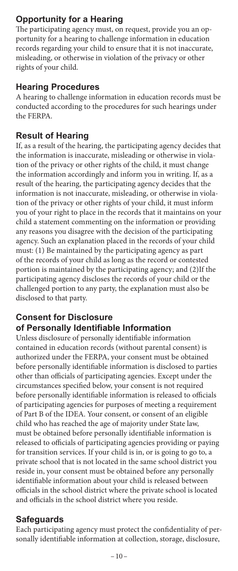# **Opportunity for a Hearing**

The participating agency must, on request, provide you an opportunity for a hearing to challenge information in education records regarding your child to ensure that it is not inaccurate, misleading, or otherwise in violation of the privacy or other rights of your child.

### **Hearing Procedures**

A hearing to challenge information in education records must be conducted according to the procedures for such hearings under the FERPA.

## **Result of Hearing**

If, as a result of the hearing, the participating agency decides that the information is inaccurate, misleading or otherwise in violation of the privacy or other rights of the child, it must change the information accordingly and inform you in writing. If, as a result of the hearing, the participating agency decides that the information is not inaccurate, misleading, or otherwise in violation of the privacy or other rights of your child, it must inform you of your right to place in the records that it maintains on your child a statement commenting on the information or providing any reasons you disagree with the decision of the participating agency. Such an explanation placed in the records of your child must: (1) Be maintained by the participating agency as part of the records of your child as long as the record or contested portion is maintained by the participating agency; and (2)If the participating agency discloses the records of your child or the challenged portion to any party, the explanation must also be disclosed to that party.

### **Consent for Disclosure of Personally Identifiable Information**

Unless disclosure of personally identifiable information contained in education records (without parental consent) is authorized under the FERPA, your consent must be obtained before personally identifiable information is disclosed to parties other than officials of participating agencies. Except under the circumstances specified below, your consent is not required before personally identifiable information is released to officials of participating agencies for purposes of meeting a requirement of Part B of the IDEA. Your consent, or consent of an eligible child who has reached the age of majority under State law, must be obtained before personally identifiable information is released to officials of participating agencies providing or paying for transition services. If your child is in, or is going to go to, a private school that is not located in the same school district you reside in, your consent must be obtained before any personally identifiable information about your child is released between officials in the school district where the private school is located and officials in the school district where you reside.

## **Safeguards**

Each participating agency must protect the confidentiality of personally identifiable information at collection, storage, disclosure,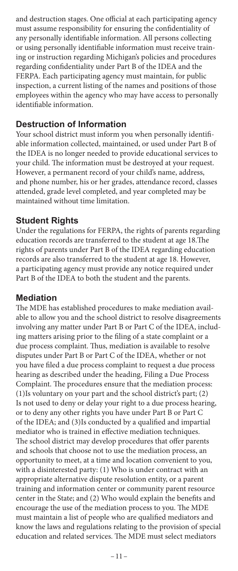and destruction stages. One official at each participating agency must assume responsibility for ensuring the confidentiality of any personally identifiable information. All persons collecting or using personally identifiable information must receive training or instruction regarding Michigan's policies and procedures regarding confidentiality under Part B of the IDEA and the FERPA. Each participating agency must maintain, for public inspection, a current listing of the names and positions of those employees within the agency who may have access to personally identifiable information.

#### **Destruction of Information**

Your school district must inform you when personally identifiable information collected, maintained, or used under Part B of the IDEA is no longer needed to provide educational services to your child. The information must be destroyed at your request. However, a permanent record of your child's name, address, and phone number, his or her grades, attendance record, classes attended, grade level completed, and year completed may be maintained without time limitation.

### **Student Rights**

Under the regulations for FERPA, the rights of parents regarding education records are transferred to the student at age 18.The rights of parents under Part B of the IDEA regarding education records are also transferred to the student at age 18. However, a participating agency must provide any notice required under Part B of the IDEA to both the student and the parents.

#### **Mediation**

The MDE has established procedures to make mediation available to allow you and the school district to resolve disagreements involving any matter under Part B or Part C of the IDEA, including matters arising prior to the filing of a state complaint or a due process complaint. Thus, mediation is available to resolve disputes under Part B or Part C of the IDEA, whether or not you have filed a due process complaint to request a due process hearing as described under the heading, Filing a Due Process Complaint. The procedures ensure that the mediation process: (1)Is voluntary on your part and the school district's part; (2) Is not used to deny or delay your right to a due process hearing, or to deny any other rights you have under Part B or Part C of the IDEA; and (3)Is conducted by a qualified and impartial mediator who is trained in effective mediation techniques. The school district may develop procedures that offer parents and schools that choose not to use the mediation process, an opportunity to meet, at a time and location convenient to you, with a disinterested party: (1) Who is under contract with an appropriate alternative dispute resolution entity, or a parent training and information center or community parent resource center in the State; and (2) Who would explain the benefits and encourage the use of the mediation process to you. The MDE must maintain a list of people who are qualified mediators and know the laws and regulations relating to the provision of special education and related services. The MDE must select mediators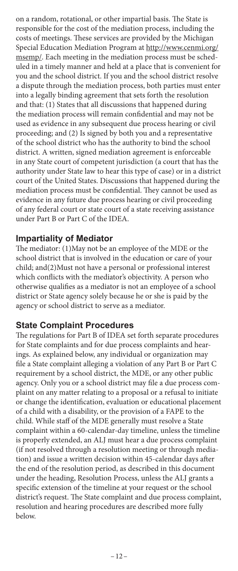on a random, rotational, or other impartial basis. The State is responsible for the cost of the mediation process, including the costs of meetings. These services are provided by the Michigan Special Education Mediation Program at http://www.cenmi.org/ msemp/. Each meeting in the mediation process must be scheduled in a timely manner and held at a place that is convenient for you and the school district. If you and the school district resolve a dispute through the mediation process, both parties must enter into a legally binding agreement that sets forth the resolution and that: (1) States that all discussions that happened during the mediation process will remain confidential and may not be used as evidence in any subsequent due process hearing or civil proceeding; and (2) Is signed by both you and a representative of the school district who has the authority to bind the school district. A written, signed mediation agreement is enforceable in any State court of competent jurisdiction (a court that has the authority under State law to hear this type of case) or in a district court of the United States. Discussions that happened during the mediation process must be confidential. They cannot be used as evidence in any future due process hearing or civil proceeding of any federal court or state court of a state receiving assistance under Part B or Part C of the IDEA.

#### **Impartiality of Mediator**

The mediator: (1)May not be an employee of the MDE or the school district that is involved in the education or care of your child; and(2)Must not have a personal or professional interest which conflicts with the mediator's objectivity. A person who otherwise qualifies as a mediator is not an employee of a school district or State agency solely because he or she is paid by the agency or school district to serve as a mediator.

#### **State Complaint Procedures**

The regulations for Part B of IDEA set forth separate procedures for State complaints and for due process complaints and hearings. As explained below, any individual or organization may file a State complaint alleging a violation of any Part B or Part C requirement by a school district, the MDE, or any other public agency. Only you or a school district may file a due process complaint on any matter relating to a proposal or a refusal to initiate or change the identification, evaluation or educational placement of a child with a disability, or the provision of a FAPE to the child. While staff of the MDE generally must resolve a State complaint within a 60-calendar-day timeline, unless the timeline is properly extended, an ALJ must hear a due process complaint (if not resolved through a resolution meeting or through mediation) and issue a written decision within 45-calendar days after the end of the resolution period, as described in this document under the heading, Resolution Process, unless the ALJ grants a specific extension of the timeline at your request or the school district's request. The State complaint and due process complaint, resolution and hearing procedures are described more fully below.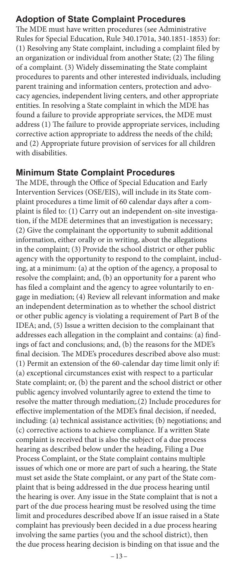#### **Adoption of State Complaint Procedures**

The MDE must have written procedures (see Administrative Rules for Special Education, Rule 340.1701a, 340.1851-1853) for: (1) Resolving any State complaint, including a complaint filed by an organization or individual from another State; (2) The filing of a complaint. (3) Widely disseminating the State complaint procedures to parents and other interested individuals, including parent training and information centers, protection and advocacy agencies, independent living centers, and other appropriate entities. In resolving a State complaint in which the MDE has found a failure to provide appropriate services, the MDE must address (1) The failure to provide appropriate services, including corrective action appropriate to address the needs of the child; and (2) Appropriate future provision of services for all children with disabilities.

#### **Minimum State Complaint Procedures**

The MDE, through the Office of Special Education and Early Intervention Services (OSE/EIS), will include in its State complaint procedures a time limit of 60 calendar days after a complaint is filed to: (1) Carry out an independent on-site investigation, if the MDE determines that an investigation is necessary; (2) Give the complainant the opportunity to submit additional information, either orally or in writing, about the allegations in the complaint; (3) Provide the school district or other public agency with the opportunity to respond to the complaint, including, at a minimum: (a) at the option of the agency, a proposal to resolve the complaint; and, (b) an opportunity for a parent who has filed a complaint and the agency to agree voluntarily to engage in mediation; (4) Review all relevant information and make an independent determination as to whether the school district or other public agency is violating a requirement of Part B of the IDEA; and, (5) Issue a written decision to the complainant that addresses each allegation in the complaint and contains: (a) findings of fact and conclusions; and, (b) the reasons for the MDE's final decision. The MDE's procedures described above also must: (1) Permit an extension of the 60-calendar day time limit only if: (a) exceptional circumstances exist with respect to a particular State complaint; or, (b) the parent and the school district or other public agency involved voluntarily agree to extend the time to resolve the matter through mediation;.(2) Include procedures for effective implementation of the MDE's final decision, if needed, including: (a) technical assistance activities; (b) negotiations; and (c) corrective actions to achieve compliance. If a written State complaint is received that is also the subject of a due process hearing as described below under the heading, Filing a Due Process Complaint, or the State complaint contains multiple issues of which one or more are part of such a hearing, the State must set aside the State complaint, or any part of the State complaint that is being addressed in the due process hearing until the hearing is over. Any issue in the State complaint that is not a part of the due process hearing must be resolved using the time limit and procedures described above If an issue raised in a State complaint has previously been decided in a due process hearing involving the same parties (you and the school district), then the due process hearing decision is binding on that issue and the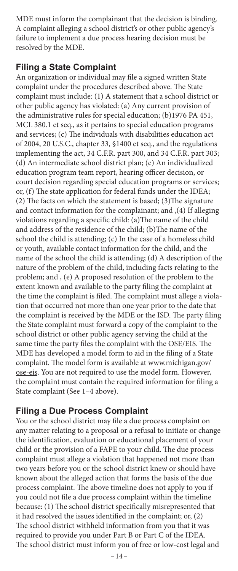MDE must inform the complainant that the decision is binding. A complaint alleging a school district's or other public agency's failure to implement a due process hearing decision must be resolved by the MDE.

#### **Filing a State Complaint**

An organization or individual may file a signed written State complaint under the procedures described above. The State complaint must include: (1) A statement that a school district or other public agency has violated: (a) Any current provision of the administrative rules for special education; (b)1976 PA 451, MCL 380.1 et seq., as it pertains to special education programs and services; (c) The individuals with disabilities education act of 2004, 20 U.S.C., chapter 33, §1400 et seq., and the regulations implementing the act, 34 C.F.R. part 300, and 34 C.F.R. part 303; (d) An intermediate school district plan; (e) An individualized education program team report, hearing officer decision, or court decision regarding special education programs or services; or, (f) The state application for federal funds under the IDEA; (2) The facts on which the statement is based; (3)The signature and contact information for the complainant; and ,(4) If alleging violations regarding a specific child: (a)The name of the child and address of the residence of the child; (b)The name of the school the child is attending; (c) In the case of a homeless child or youth, available contact information for the child, and the name of the school the child is attending; (d) A description of the nature of the problem of the child, including facts relating to the problem; and , (e) A proposed resolution of the problem to the extent known and available to the party filing the complaint at the time the complaint is filed. The complaint must allege a violation that occurred not more than one year prior to the date that the complaint is received by the MDE or the ISD. The party filing the State complaint must forward a copy of the complaint to the school district or other public agency serving the child at the same time the party files the complaint with the OSE/EIS. The MDE has developed a model form to aid in the filing of a State complaint. The model form is available at www.michigan.gov/ ose-eis. You are not required to use the model form. However, the complaint must contain the required information for filing a State complaint (See 1–4 above).

#### **Filing a Due Process Complaint**

You or the school district may file a due process complaint on any matter relating to a proposal or a refusal to initiate or change the identification, evaluation or educational placement of your child or the provision of a FAPE to your child. The due process complaint must allege a violation that happened not more than two years before you or the school district knew or should have known about the alleged action that forms the basis of the due process complaint. The above timeline does not apply to you if you could not file a due process complaint within the timeline because: (1) The school district specifically misrepresented that it had resolved the issues identified in the complaint; or, (2) The school district withheld information from you that it was required to provide you under Part B or Part C of the IDEA. The school district must inform you of free or low-cost legal and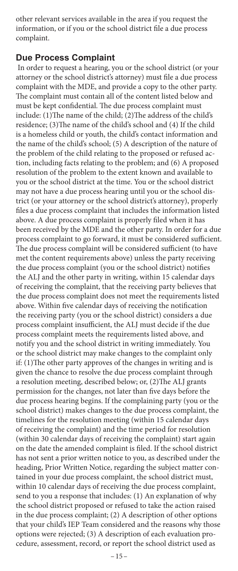other relevant services available in the area if you request the information, or if you or the school district file a due process complaint.

#### **Due Process Complaint**

 In order to request a hearing, you or the school district (or your attorney or the school district's attorney) must file a due process complaint with the MDE, and provide a copy to the other party. The complaint must contain all of the content listed below and must be kept confidential. The due process complaint must include: (1)The name of the child; (2)The address of the child's residence; (3)The name of the child's school and (4) If the child is a homeless child or youth, the child's contact information and the name of the child's school; (5) A description of the nature of the problem of the child relating to the proposed or refused action, including facts relating to the problem; and (6) A proposed resolution of the problem to the extent known and available to you or the school district at the time. You or the school district may not have a due process hearing until you or the school district (or your attorney or the school district's attorney), properly files a due process complaint that includes the information listed above. A due process complaint is properly filed when it has been received by the MDE and the other party. In order for a due process complaint to go forward, it must be considered sufficient. The due process complaint will be considered sufficient (to have met the content requirements above) unless the party receiving the due process complaint (you or the school district) notifies the ALJ and the other party in writing, within 15 calendar days of receiving the complaint, that the receiving party believes that the due process complaint does not meet the requirements listed above. Within five calendar days of receiving the notification the receiving party (you or the school district) considers a due process complaint insufficient, the ALJ must decide if the due process complaint meets the requirements listed above, and notify you and the school district in writing immediately. You or the school district may make changes to the complaint only if: (1)The other party approves of the changes in writing and is given the chance to resolve the due process complaint through a resolution meeting, described below; or, (2)The ALJ grants permission for the changes, not later than five days before the due process hearing begins. If the complaining party (you or the school district) makes changes to the due process complaint, the timelines for the resolution meeting (within 15 calendar days of receiving the complaint) and the time period for resolution (within 30 calendar days of receiving the complaint) start again on the date the amended complaint is filed. If the school district has not sent a prior written notice to you, as described under the heading, Prior Written Notice, regarding the subject matter contained in your due process complaint, the school district must, within 10 calendar days of receiving the due process complaint, send to you a response that includes: (1) An explanation of why the school district proposed or refused to take the action raised in the due process complaint; (2) A description of other options that your child's IEP Team considered and the reasons why those options were rejected; (3) A description of each evaluation procedure, assessment, record, or report the school district used as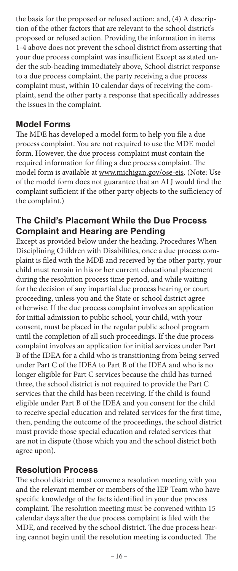the basis for the proposed or refused action; and, (4) A description of the other factors that are relevant to the school district's proposed or refused action. Providing the information in items 1-4 above does not prevent the school district from asserting that your due process complaint was insufficient Except as stated under the sub-heading immediately above, School district response to a due process complaint, the party receiving a due process complaint must, within 10 calendar days of receiving the complaint, send the other party a response that specifically addresses the issues in the complaint.

#### **Model Forms**

The MDE has developed a model form to help you file a due process complaint. You are not required to use the MDE model form. However, the due process complaint must contain the required information for filing a due process complaint. The model form is available at www.michigan.gov/ose-eis. (Note: Use of the model form does not guarantee that an ALJ would find the complaint sufficient if the other party objects to the sufficiency of the complaint.)

### **The Child's Placement While the Due Process Complaint and Hearing are Pending**

Except as provided below under the heading, Procedures When Disciplining Children with Disabilities, once a due process complaint is filed with the MDE and received by the other party, your child must remain in his or her current educational placement during the resolution process time period, and while waiting for the decision of any impartial due process hearing or court proceeding, unless you and the State or school district agree otherwise. If the due process complaint involves an application for initial admission to public school, your child, with your consent, must be placed in the regular public school program until the completion of all such proceedings. If the due process complaint involves an application for initial services under Part B of the IDEA for a child who is transitioning from being served under Part C of the IDEA to Part B of the IDEA and who is no longer eligible for Part C services because the child has turned three, the school district is not required to provide the Part C services that the child has been receiving. If the child is found eligible under Part B of the IDEA and you consent for the child to receive special education and related services for the first time, then, pending the outcome of the proceedings, the school district must provide those special education and related services that are not in dispute (those which you and the school district both agree upon).

#### **Resolution Process**

The school district must convene a resolution meeting with you and the relevant member or members of the IEP Team who have specific knowledge of the facts identified in your due process complaint. The resolution meeting must be convened within 15 calendar days after the due process complaint is filed with the MDE, and received by the school district. The due process hearing cannot begin until the resolution meeting is conducted. The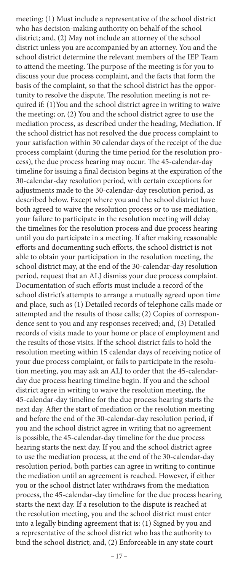meeting: (1) Must include a representative of the school district who has decision-making authority on behalf of the school district; and, (2) May not include an attorney of the school district unless you are accompanied by an attorney. You and the school district determine the relevant members of the IEP Team to attend the meeting. The purpose of the meeting is for you to discuss your due process complaint, and the facts that form the basis of the complaint, so that the school district has the opportunity to resolve the dispute. The resolution meeting is not required if: (1)You and the school district agree in writing to waive the meeting; or, (2) You and the school district agree to use the mediation process, as described under the heading, Mediation. If the school district has not resolved the due process complaint to your satisfaction within 30 calendar days of the receipt of the due process complaint (during the time period for the resolution process), the due process hearing may occur. The 45-calendar-day timeline for issuing a final decision begins at the expiration of the 30-calendar-day resolution period, with certain exceptions for adjustments made to the 30-calendar-day resolution period, as described below. Except where you and the school district have both agreed to waive the resolution process or to use mediation, your failure to participate in the resolution meeting will delay the timelines for the resolution process and due process hearing until you do participate in a meeting. If after making reasonable efforts and documenting such efforts, the school district is not able to obtain your participation in the resolution meeting, the school district may, at the end of the 30-calendar-day resolution period, request that an ALJ dismiss your due process complaint. Documentation of such efforts must include a record of the school district's attempts to arrange a mutually agreed upon time and place, such as (1) Detailed records of telephone calls made or attempted and the results of those calls; (2) Copies of correspondence sent to you and any responses received; and, (3) Detailed records of visits made to your home or place of employment and the results of those visits. If the school district fails to hold the resolution meeting within 15 calendar days of receiving notice of your due process complaint, or fails to participate in the resolution meeting, you may ask an ALJ to order that the 45-calendarday due process hearing timeline begin. If you and the school district agree in writing to waive the resolution meeting, the 45-calendar-day timeline for the due process hearing starts the next day. After the start of mediation or the resolution meeting and before the end of the 30-calendar-day resolution period, if you and the school district agree in writing that no agreement is possible, the 45-calendar-day timeline for the due process hearing starts the next day. If you and the school district agree to use the mediation process, at the end of the 30-calendar-day resolution period, both parties can agree in writing to continue the mediation until an agreement is reached. However, if either you or the school district later withdraws from the mediation process, the 45-calendar-day timeline for the due process hearing starts the next day. If a resolution to the dispute is reached at the resolution meeting, you and the school district must enter into a legally binding agreement that is: (1) Signed by you and a representative of the school district who has the authority to bind the school district; and, (2) Enforceable in any state court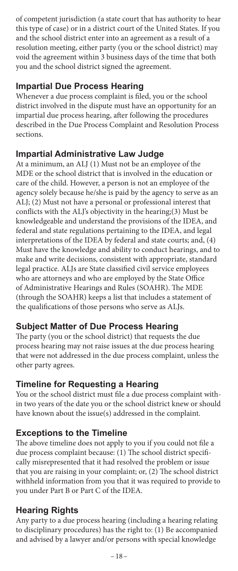of competent jurisdiction (a state court that has authority to hear this type of case) or in a district court of the United States. If you and the school district enter into an agreement as a result of a resolution meeting, either party (you or the school district) may void the agreement within 3 business days of the time that both you and the school district signed the agreement.

## **Impartial Due Process Hearing**

Whenever a due process complaint is filed, you or the school district involved in the dispute must have an opportunity for an impartial due process hearing, after following the procedures described in the Due Process Complaint and Resolution Process sections.

## **Impartial Administrative Law Judge**

At a minimum, an ALJ (1) Must not be an employee of the MDE or the school district that is involved in the education or care of the child. However, a person is not an employee of the agency solely because he/she is paid by the agency to serve as an ALJ; (2) Must not have a personal or professional interest that conflicts with the ALJ's objectivity in the hearing;(3) Must be knowledgeable and understand the provisions of the IDEA, and federal and state regulations pertaining to the IDEA, and legal interpretations of the IDEA by federal and state courts; and, (4) Must have the knowledge and ability to conduct hearings, and to make and write decisions, consistent with appropriate, standard legal practice. ALJs are State classified civil service employees who are attorneys and who are employed by the State Office of Administrative Hearings and Rules (SOAHR). The MDE (through the SOAHR) keeps a list that includes a statement of the qualifications of those persons who serve as ALJs.

# **Subject Matter of Due Process Hearing**

The party (you or the school district) that requests the due process hearing may not raise issues at the due process hearing that were not addressed in the due process complaint, unless the other party agrees.

## **Timeline for Requesting a Hearing**

You or the school district must file a due process complaint within two years of the date you or the school district knew or should have known about the issue(s) addressed in the complaint.

# **Exceptions to the Timeline**

The above timeline does not apply to you if you could not file a due process complaint because: (1) The school district specifically misrepresented that it had resolved the problem or issue that you are raising in your complaint; or, (2) The school district withheld information from you that it was required to provide to you under Part B or Part C of the IDEA.

# **Hearing Rights**

Any party to a due process hearing (including a hearing relating to disciplinary procedures) has the right to: (1) Be accompanied and advised by a lawyer and/or persons with special knowledge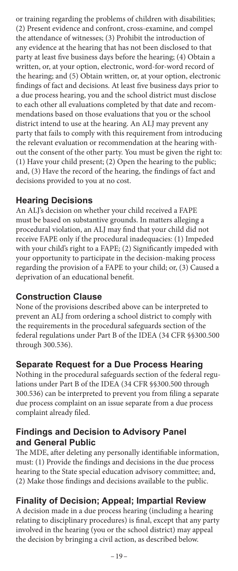or training regarding the problems of children with disabilities; (2) Present evidence and confront, cross-examine, and compel the attendance of witnesses; (3) Prohibit the introduction of any evidence at the hearing that has not been disclosed to that party at least five business days before the hearing; (4) Obtain a written, or, at your option, electronic, word-for-word record of the hearing; and (5) Obtain written, or, at your option, electronic findings of fact and decisions. At least five business days prior to a due process hearing, you and the school district must disclose to each other all evaluations completed by that date and recommendations based on those evaluations that you or the school district intend to use at the hearing. An ALJ may prevent any party that fails to comply with this requirement from introducing the relevant evaluation or recommendation at the hearing without the consent of the other party. You must be given the right to: (1) Have your child present; (2) Open the hearing to the public; and, (3) Have the record of the hearing, the findings of fact and decisions provided to you at no cost.

## **Hearing Decisions**

An ALJ's decision on whether your child received a FAPE must be based on substantive grounds. In matters alleging a procedural violation, an ALJ may find that your child did not receive FAPE only if the procedural inadequacies: (1) Impeded with your child's right to a FAPE; (2) Significantly impeded with your opportunity to participate in the decision-making process regarding the provision of a FAPE to your child; or, (3) Caused a deprivation of an educational benefit.

## **Construction Clause**

None of the provisions described above can be interpreted to prevent an ALJ from ordering a school district to comply with the requirements in the procedural safeguards section of the federal regulations under Part B of the IDEA (34 CFR §§300.500 through 300.536).

## **Separate Request for a Due Process Hearing**

Nothing in the procedural safeguards section of the federal regulations under Part B of the IDEA (34 CFR §§300.500 through 300.536) can be interpreted to prevent you from filing a separate due process complaint on an issue separate from a due process complaint already filed.

## **Findings and Decision to Advisory Panel and General Public**

The MDE, after deleting any personally identifiable information, must: (1) Provide the findings and decisions in the due process hearing to the State special education advisory committee; and, (2) Make those findings and decisions available to the public.

## **Finality of Decision; Appeal; Impartial Review**

A decision made in a due process hearing (including a hearing relating to disciplinary procedures) is final, except that any party involved in the hearing (you or the school district) may appeal the decision by bringing a civil action, as described below.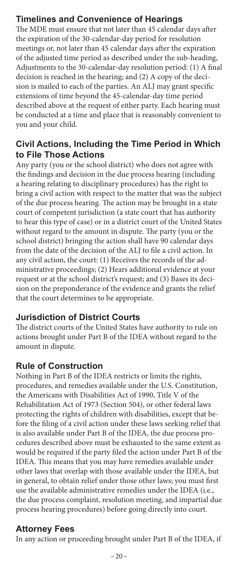## **Timelines and Convenience of Hearings**

The MDE must ensure that not later than 45 calendar days after the expiration of the 30-calendar-day period for resolution meetings or, not later than 45 calendar days after the expiration of the adjusted time period as described under the sub-heading, Adjustments to the 30-calendar-day resolution period: (1) A final decision is reached in the hearing; and (2) A copy of the decision is mailed to each of the parties. An ALJ may grant specific extensions of time beyond the 45-calendar-day time period described above at the request of either party. Each hearing must be conducted at a time and place that is reasonably convenient to you and your child.

## **Civil Actions, Including the Time Period in Which to File Those Actions**

Any party (you or the school district) who does not agree with the findings and decision in the due process hearing (including a hearing relating to disciplinary procedures) has the right to bring a civil action with respect to the matter that was the subject of the due process hearing. The action may be brought in a state court of competent jurisdiction (a state court that has authority to hear this type of case) or in a district court of the United States without regard to the amount in dispute. The party (you or the school district) bringing the action shall have 90 calendar days from the date of the decision of the ALJ to file a civil action. In any civil action, the court: (1) Receives the records of the administrative proceedings; (2) Hears additional evidence at your request or at the school district's request; and (3) Bases its decision on the preponderance of the evidence and grants the relief that the court determines to be appropriate.

## **Jurisdiction of District Courts**

The district courts of the United States have authority to rule on actions brought under Part B of the IDEA without regard to the amount in dispute.

#### **Rule of Construction**

Nothing in Part B of the IDEA restricts or limits the rights, procedures, and remedies available under the U.S. Constitution, the Americans with Disabilities Act of 1990, Title V of the Rehabilitation Act of 1973 (Section 504), or other federal laws protecting the rights of children with disabilities, except that before the filing of a civil action under these laws seeking relief that is also available under Part B of the IDEA, the due process procedures described above must be exhausted to the same extent as would be required if the party filed the action under Part B of the IDEA. This means that you may have remedies available under other laws that overlap with those available under the IDEA, but in general, to obtain relief under those other laws; you must first use the available administrative remedies under the IDEA (i.e., the due process complaint, resolution meeting, and impartial due process hearing procedures) before going directly into court.

## **Attorney Fees**

In any action or proceeding brought under Part B of the IDEA, if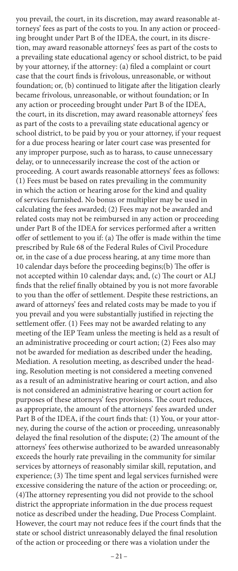you prevail, the court, in its discretion, may award reasonable attorneys' fees as part of the costs to you. In any action or proceeding brought under Part B of the IDEA, the court, in its discretion, may award reasonable attorneys' fees as part of the costs to a prevailing state educational agency or school district, to be paid by your attorney, if the attorney: (a) filed a complaint or court case that the court finds is frivolous, unreasonable, or without foundation; or, (b) continued to litigate after the litigation clearly became frivolous, unreasonable, or without foundation; or In any action or proceeding brought under Part B of the IDEA, the court, in its discretion, may award reasonable attorneys' fees as part of the costs to a prevailing state educational agency or school district, to be paid by you or your attorney, if your request for a due process hearing or later court case was presented for any improper purpose, such as to harass, to cause unnecessary delay, or to unnecessarily increase the cost of the action or proceeding. A court awards reasonable attorneys' fees as follows: (1) Fees must be based on rates prevailing in the community in which the action or hearing arose for the kind and quality of services furnished. No bonus or multiplier may be used in calculating the fees awarded; (2) Fees may not be awarded and related costs may not be reimbursed in any action or proceeding under Part B of the IDEA for services performed after a written offer of settlement to you if: (a) The offer is made within the time prescribed by Rule 68 of the Federal Rules of Civil Procedure or, in the case of a due process hearing, at any time more than 10 calendar days before the proceeding begins;(b) The offer is not accepted within 10 calendar days; and, (c) The court or ALJ finds that the relief finally obtained by you is not more favorable to you than the offer of settlement. Despite these restrictions, an award of attorneys' fees and related costs may be made to you if you prevail and you were substantially justified in rejecting the settlement offer. (1) Fees may not be awarded relating to any meeting of the IEP Team unless the meeting is held as a result of an administrative proceeding or court action; (2) Fees also may not be awarded for mediation as described under the heading, Mediation. A resolution meeting, as described under the heading, Resolution meeting is not considered a meeting convened as a result of an administrative hearing or court action, and also is not considered an administrative hearing or court action for purposes of these attorneys' fees provisions. The court reduces, as appropriate, the amount of the attorneys' fees awarded under Part B of the IDEA, if the court finds that: (1) You, or your attorney, during the course of the action or proceeding, unreasonably delayed the final resolution of the dispute; (2) The amount of the attorneys' fees otherwise authorized to be awarded unreasonably exceeds the hourly rate prevailing in the community for similar services by attorneys of reasonably similar skill, reputation, and experience; (3) The time spent and legal services furnished were excessive considering the nature of the action or proceeding; or, (4)The attorney representing you did not provide to the school district the appropriate information in the due process request notice as described under the heading, Due Process Complaint. However, the court may not reduce fees if the court finds that the state or school district unreasonably delayed the final resolution of the action or proceeding or there was a violation under the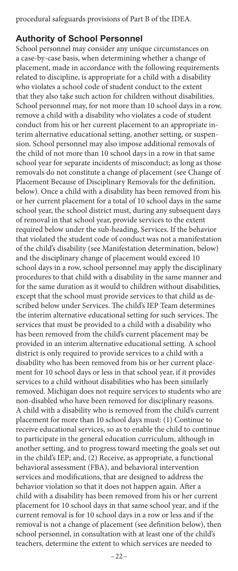procedural safeguards provisions of Part B of the IDEA.

#### **Authority of School Personnel**

School personnel may consider any unique circumstances on a case-by-case basis, when determining whether a change of placement, made in accordance with the following requirements related to discipline, is appropriate for a child with a disability who violates a school code of student conduct to the extent that they also take such action for children without disabilities. School personnel may, for not more than 10 school days in a row, remove a child with a disability who violates a code of student conduct from his or her current placement to an appropriate interim alternative educational setting, another setting, or suspension. School personnel may also impose additional removals of the child of not more than 10 school days in a row in that same school year for separate incidents of misconduct; as long as those removals do not constitute a change of placement (see Change of Placement Because of Disciplinary Removals for the definition, below). Once a child with a disability has been removed from his or her current placement for a total of 10 school days in the same school year, the school district must, during any subsequent days of removal in that school year, provide services to the extent required below under the sub-heading, Services. If the behavior that violated the student code of conduct was not a manifestation of the child's disability (see Manifestation determination, below) and the disciplinary change of placement would exceed 10 school days in a row, school personnel may apply the disciplinary procedures to that child with a disability in the same manner and for the same duration as it would to children without disabilities, except that the school must provide services to that child as described below under Services. The child's IEP Team determines the interim alternative educational setting for such services. The services that must be provided to a child with a disability who has been removed from the child's current placement may be provided in an interim alternative educational setting. A school district is only required to provide services to a child with a disability who has been removed from his or her current placement for 10 school days or less in that school year, if it provides services to a child without disabilities who has been similarly removed. Michigan does not require services to students who are non-disabled who have been removed for disciplinary reasons. A child with a disability who is removed from the child's current placement for more than 10 school days must: (1) Continue to receive educational services, so as to enable the child to continue to participate in the general education curriculum, although in another setting, and to progress toward meeting the goals set out in the child's IEP; and, (2) Receive, as appropriate, a functional behavioral assessment (FBA), and behavioral intervention services and modifications, that are designed to address the behavior violation so that it does not happen again. After a child with a disability has been removed from his or her current placement for 10 school days in that same school year, and if the current removal is for 10 school days in a row or less and if the removal is not a change of placement (see definition below), then school personnel, in consultation with at least one of the child's teachers, determine the extent to which services are needed to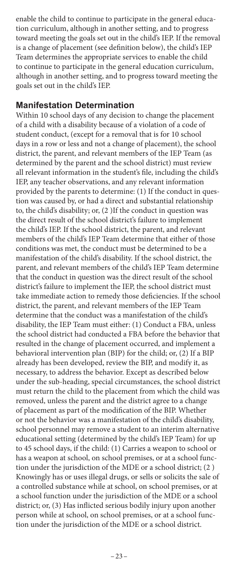enable the child to continue to participate in the general education curriculum, although in another setting, and to progress toward meeting the goals set out in the child's IEP. If the removal is a change of placement (see definition below), the child's IEP Team determines the appropriate services to enable the child to continue to participate in the general education curriculum, although in another setting, and to progress toward meeting the goals set out in the child's IEP.

#### **Manifestation Determination**

Within 10 school days of any decision to change the placement of a child with a disability because of a violation of a code of student conduct, (except for a removal that is for 10 school days in a row or less and not a change of placement), the school district, the parent, and relevant members of the IEP Team (as determined by the parent and the school district) must review all relevant information in the student's file, including the child's IEP, any teacher observations, and any relevant information provided by the parents to determine: (1) If the conduct in question was caused by, or had a direct and substantial relationship to, the child's disability; or, (2 )If the conduct in question was the direct result of the school district's failure to implement the child's IEP. If the school district, the parent, and relevant members of the child's IEP Team determine that either of those conditions was met, the conduct must be determined to be a manifestation of the child's disability. If the school district, the parent, and relevant members of the child's IEP Team determine that the conduct in question was the direct result of the school district's failure to implement the IEP, the school district must take immediate action to remedy those deficiencies. If the school district, the parent, and relevant members of the IEP Team determine that the conduct was a manifestation of the child's disability, the IEP Team must either: (1) Conduct a FBA, unless the school district had conducted a FBA before the behavior that resulted in the change of placement occurred, and implement a behavioral intervention plan (BIP) for the child; or, (2) If a BIP already has been developed, review the BIP, and modify it, as necessary, to address the behavior. Except as described below under the sub-heading, special circumstances, the school district must return the child to the placement from which the child was removed, unless the parent and the district agree to a change of placement as part of the modification of the BIP. Whether or not the behavior was a manifestation of the child's disability, school personnel may remove a student to an interim alternative educational setting (determined by the child's IEP Team) for up to 45 school days, if the child: (1) Carries a weapon to school or has a weapon at school, on school premises, or at a school function under the jurisdiction of the MDE or a school district; (2 ) Knowingly has or uses illegal drugs, or sells or solicits the sale of a controlled substance while at school, on school premises, or at a school function under the jurisdiction of the MDE or a school district; or, (3) Has inflicted serious bodily injury upon another person while at school, on school premises, or at a school function under the jurisdiction of the MDE or a school district.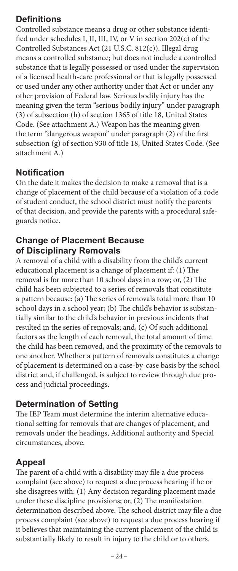## **Definitions**

Controlled substance means a drug or other substance identified under schedules I, II, III, IV, or V in section 202(c) of the Controlled Substances Act (21 U.S.C. 812(c)). Illegal drug means a controlled substance; but does not include a controlled substance that is legally possessed or used under the supervision of a licensed health-care professional or that is legally possessed or used under any other authority under that Act or under any other provision of Federal law. Serious bodily injury has the meaning given the term "serious bodily injury" under paragraph (3) of subsection (h) of section 1365 of title 18, United States Code. (See attachment A.) Weapon has the meaning given the term "dangerous weapon" under paragraph (2) of the first subsection (g) of section 930 of title 18, United States Code. (See attachment A.)

## **Notification**

On the date it makes the decision to make a removal that is a change of placement of the child because of a violation of a code of student conduct, the school district must notify the parents of that decision, and provide the parents with a procedural safeguards notice.

## **Change of Placement Because of Disciplinary Removals**

A removal of a child with a disability from the child's current educational placement is a change of placement if: (1) The removal is for more than 10 school days in a row; or, (2) The child has been subjected to a series of removals that constitute a pattern because: (a) The series of removals total more than 10 school days in a school year; (b) The child's behavior is substantially similar to the child's behavior in previous incidents that resulted in the series of removals; and, (c) Of such additional factors as the length of each removal, the total amount of time the child has been removed, and the proximity of the removals to one another. Whether a pattern of removals constitutes a change of placement is determined on a case-by-case basis by the school district and, if challenged, is subject to review through due process and judicial proceedings.

## **Determination of Setting**

The IEP Team must determine the interim alternative educational setting for removals that are changes of placement, and removals under the headings, Additional authority and Special circumstances, above.

# **Appeal**

The parent of a child with a disability may file a due process complaint (see above) to request a due process hearing if he or she disagrees with: (1) Any decision regarding placement made under these discipline provisions; or, (2) The manifestation determination described above. The school district may file a due process complaint (see above) to request a due process hearing if it believes that maintaining the current placement of the child is substantially likely to result in injury to the child or to others.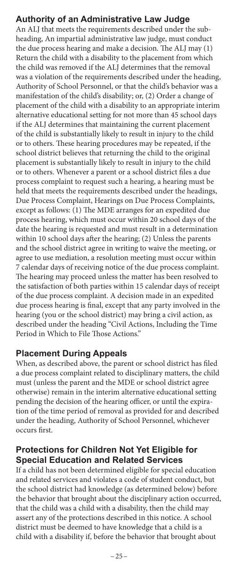# **Authority of an Administrative Law Judge**

An ALJ that meets the requirements described under the subheading, An impartial administrative law judge, must conduct the due process hearing and make a decision. The ALJ may (1) Return the child with a disability to the placement from which the child was removed if the ALJ determines that the removal was a violation of the requirements described under the heading, Authority of School Personnel, or that the child's behavior was a manifestation of the child's disability; or, (2) Order a change of placement of the child with a disability to an appropriate interim alternative educational setting for not more than 45 school days if the ALJ determines that maintaining the current placement of the child is substantially likely to result in injury to the child or to others. These hearing procedures may be repeated, if the school district believes that returning the child to the original placement is substantially likely to result in injury to the child or to others. Whenever a parent or a school district files a due process complaint to request such a hearing, a hearing must be held that meets the requirements described under the headings, Due Process Complaint, Hearings on Due Process Complaints, except as follows: (1) The MDE arranges for an expedited due process hearing, which must occur within 20 school days of the date the hearing is requested and must result in a determination within 10 school days after the hearing; (2) Unless the parents and the school district agree in writing to waive the meeting, or agree to use mediation, a resolution meeting must occur within 7 calendar days of receiving notice of the due process complaint. The hearing may proceed unless the matter has been resolved to the satisfaction of both parties within 15 calendar days of receipt of the due process complaint. A decision made in an expedited due process hearing is final, except that any party involved in the hearing (you or the school district) may bring a civil action, as described under the heading "Civil Actions, Including the Time Period in Which to File Those Actions."

## **Placement During Appeals**

When, as described above, the parent or school district has filed a due process complaint related to disciplinary matters, the child must (unless the parent and the MDE or school district agree otherwise) remain in the interim alternative educational setting pending the decision of the hearing officer, or until the expiration of the time period of removal as provided for and described under the heading, Authority of School Personnel, whichever occurs first.

## **Protections for Children Not Yet Eligible for Special Education and Related Services**

If a child has not been determined eligible for special education and related services and violates a code of student conduct, but the school district had knowledge (as determined below) before the behavior that brought about the disciplinary action occurred, that the child was a child with a disability, then the child may assert any of the protections described in this notice. A school district must be deemed to have knowledge that a child is a child with a disability if, before the behavior that brought about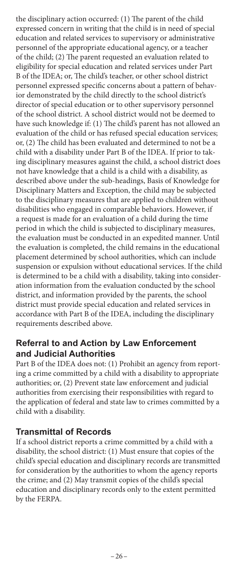the disciplinary action occurred: (1) The parent of the child expressed concern in writing that the child is in need of special education and related services to supervisory or administrative personnel of the appropriate educational agency, or a teacher of the child; (2) The parent requested an evaluation related to eligibility for special education and related services under Part B of the IDEA; or, The child's teacher, or other school district personnel expressed specific concerns about a pattern of behavior demonstrated by the child directly to the school district's director of special education or to other supervisory personnel of the school district. A school district would not be deemed to have such knowledge if: (1) The child's parent has not allowed an evaluation of the child or has refused special education services; or, (2) The child has been evaluated and determined to not be a child with a disability under Part B of the IDEA. If prior to taking disciplinary measures against the child, a school district does not have knowledge that a child is a child with a disability, as described above under the sub-headings, Basis of Knowledge for Disciplinary Matters and Exception, the child may be subjected to the disciplinary measures that are applied to children without disabilities who engaged in comparable behaviors. However, if a request is made for an evaluation of a child during the time period in which the child is subjected to disciplinary measures, the evaluation must be conducted in an expedited manner. Until the evaluation is completed, the child remains in the educational placement determined by school authorities, which can include suspension or expulsion without educational services. If the child is determined to be a child with a disability, taking into consideration information from the evaluation conducted by the school district, and information provided by the parents, the school district must provide special education and related services in accordance with Part B of the IDEA, including the disciplinary requirements described above.

#### **Referral to and Action by Law Enforcement and Judicial Authorities**

Part B of the IDEA does not: (1) Prohibit an agency from reporting a crime committed by a child with a disability to appropriate authorities; or, (2) Prevent state law enforcement and judicial authorities from exercising their responsibilities with regard to the application of federal and state law to crimes committed by a child with a disability.

## **Transmittal of Records**

If a school district reports a crime committed by a child with a disability, the school district: (1) Must ensure that copies of the child's special education and disciplinary records are transmitted for consideration by the authorities to whom the agency reports the crime; and (2) May transmit copies of the child's special education and disciplinary records only to the extent permitted by the FERPA.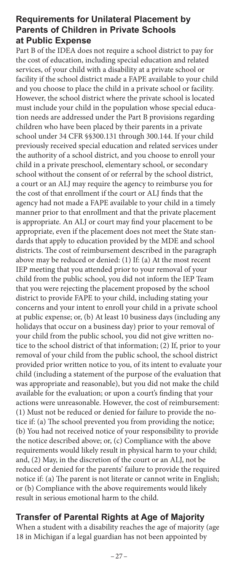### **Requirements for Unilateral Placement by Parents of Children in Private Schools at Public Expense**

Part B of the IDEA does not require a school district to pay for the cost of education, including special education and related services, of your child with a disability at a private school or facility if the school district made a FAPE available to your child and you choose to place the child in a private school or facility. However, the school district where the private school is located must include your child in the population whose special education needs are addressed under the Part B provisions regarding children who have been placed by their parents in a private school under 34 CFR §§300.131 through 300.144. If your child previously received special education and related services under the authority of a school district, and you choose to enroll your child in a private preschool, elementary school, or secondary school without the consent of or referral by the school district, a court or an ALJ may require the agency to reimburse you for the cost of that enrollment if the court or ALJ finds that the agency had not made a FAPE available to your child in a timely manner prior to that enrollment and that the private placement is appropriate. An ALJ or court may find your placement to be appropriate, even if the placement does not meet the State standards that apply to education provided by the MDE and school districts. The cost of reimbursement described in the paragraph above may be reduced or denied: (1) If: (a) At the most recent IEP meeting that you attended prior to your removal of your child from the public school, you did not inform the IEP Team that you were rejecting the placement proposed by the school district to provide FAPE to your child, including stating your concerns and your intent to enroll your child in a private school at public expense; or, (b) At least 10 business days (including any holidays that occur on a business day) prior to your removal of your child from the public school, you did not give written notice to the school district of that information; (2) If, prior to your removal of your child from the public school, the school district provided prior written notice to you, of its intent to evaluate your child (including a statement of the purpose of the evaluation that was appropriate and reasonable), but you did not make the child available for the evaluation; or upon a court's finding that your actions were unreasonable. However, the cost of reimbursement: (1) Must not be reduced or denied for failure to provide the notice if: (a) The school prevented you from providing the notice; (b) You had not received notice of your responsibility to provide the notice described above; or, (c) Compliance with the above requirements would likely result in physical harm to your child; and, (2) May, in the discretion of the court or an ALJ, not be reduced or denied for the parents' failure to provide the required notice if: (a) The parent is not literate or cannot write in English; or (b) Compliance with the above requirements would likely result in serious emotional harm to the child.

### **Transfer of Parental Rights at Age of Majority**

When a student with a disability reaches the age of majority (age 18 in Michigan if a legal guardian has not been appointed by